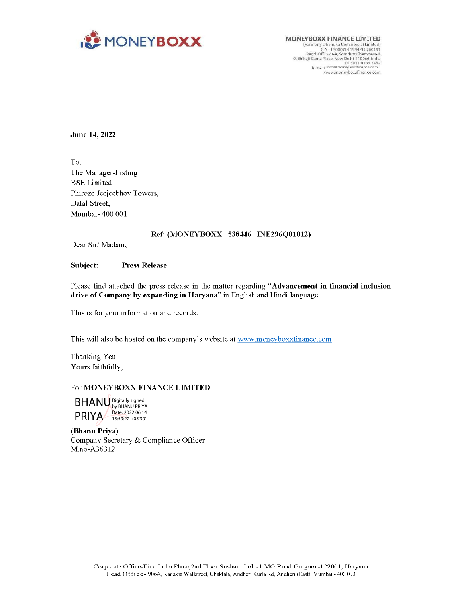

CINEYBOXX FINANCE LIMITED<br>
(Formedy Dhanuka Commercial Limited<br>
CIN - L30007DL1994PLC260191<br>
Regd. Off: 523-A,Somdutt Chambers-H<br>
9. Bhikaji Cama Place, New Delhi-110066. India www.mioneyboxxfinance.com

## June 14, 2022

To, The Manager-Listing BSE Limited Phiroze Jeejeebhoy Towers, Dalal Street, Mumbai- 400 001

## Ref: (MONEY BOXX | 538446 | INE296Q01012)

Dear Sir/ Madam,

#### Subject: Press Release

Please find attached the press release in the matter regarding "Advancement in financial inclusion drive of Company by expanding in Haryana" in English and Hindi language.

This is for your information and records.

This will also be hosted on the company's website at www.moneyboxxfinance.com

Thanking You, Yours faithfully,

## For MONEYBOXX FINANCE LIMITED



(Bhanu Priya) Company Secretary & Compliance Officer M.no-A36312  $\textsf{BHANU}^{\textsf{DylgHyRdive}}_{\textsf{by BHAWPRYA}} \overbrace{ }^{\textsf{Date 202206.14}}_{\textsf{155522} + \textsf{05797}}$ <br>
Shanu Priya)<br>
`ompany Secretary & Compliance Officer<br>
A.no-A36312<br>
Corporate Office-First India Place, 2nd Floor Sushant Lok -1 MG Road Gur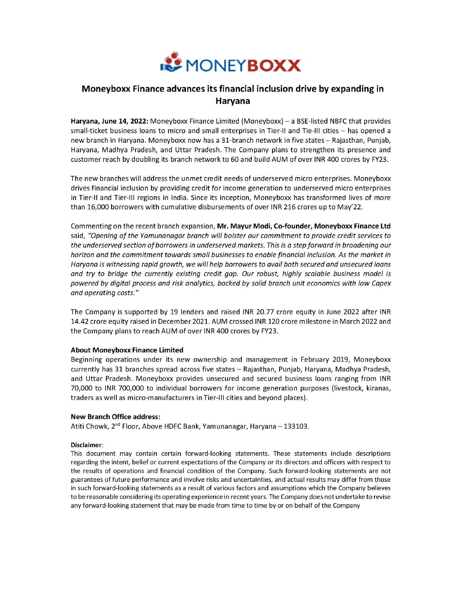

# Moneyboxx Finance advances its financial inclusion drive by expanding in Haryana

Haryana, June 14, 2022: Moneyboxx Finance Limited (Moneyboxx) — a BSE-listed NBFC that provides small-ticket business loans to micro and small enterprises in Tier-Il and Tie-lll cities — has opened a new branch in Haryana. Moneyboxx now has a 31-branch network in five states — Rajasthan, Punjab, Haryana, Madhya Pradesh, and Uttar Pradesh. The Company plans to strengthen its presence and customer reach by doubling its branch network to 60 and build AUM of over INR 400 crores by FY23.

The new branches will address the unmet credit needs of underserved micro enterprises. Moneyboxx drives financial inclusion by providing credit for income generation to underserved micro enterprises in Tier-Il and Tier-Ill regions in India. Since its inception, Moneyboxx has transformed lives of more than 16,000 borrowers with cumulative disbursements of over INR 216 crores up to May' 22.

Commenting on the recent branch expansion, Mr. Mayur Modi, Co-founder, Moneyboxx Finance Ltd said, "Opening of the Yamunanagar branch will bolster our commitment to provide credit services to the underserved section of borrowers in underserved markets. This is a step forward in broadening our horizon and the commitment towards small businesses to enable financial inclusion. As the market in Haryana is witnessing rapid growth, we will help borrowers to avail both secured and unsecured loans and try to bridge the currently existing credit gap. Our robust, highly scalable business model is powered by digital process and risk analytics, backed by solid branch unit economics with low Capex and operating costs."

The Company is supported by 19 lenders and raised INR 20.77 crore equity in June 2022 after INR 14.42 crore equity raised in December 2021. AUM crossed INR 120 crore milestone in March 2022 and the Company plans to reach AUM of over INR 400 crores by FY23.

## About Moneyboxx Finance Limited

Beginning operations under its new ownership and management in February 2019, Moneyboxx currently has 31 branches spread across five states — Rajasthan, Punjab, Haryana, Madhya Pradesh, and Uttar Pradesh. Moneyboxx provides unsecured and secured business loans ranging from INR 70,000 to INR 700,000 to individual borrowers for income generation purposes (livestock, kiranas, traders as well as micro-manufacturers in Tier-Ill cities and beyond places).

#### New Branch Office address:

Atiti Chowk, 2<sup>nd</sup> Floor, Above HDFC Bank, Yamunanagar, Haryana - 133103.

#### Disclaimer:

This document may contain certain forward-looking statements. These statements include descriptions regarding the intent, belief or current expectations of the Company or its directors and officers with respect to the results of operations and financial condition of the Company. Such forward-looking statements are not guarantees of future performance and involve risks and uncertainties, and actual results may differ from those in such forward-looking statements as a result of various factors and assumptions which the Company believes to be reasonable considering its operating experience in recent years. The Company does not undertake to revise any forward-looking statement that may be made from time to time by or on behalf of the Company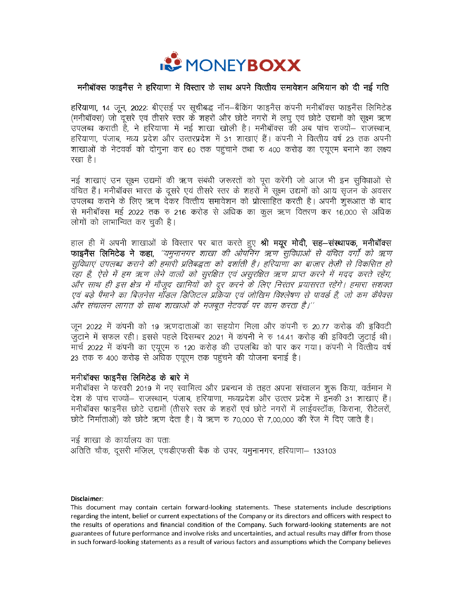

## मनीबॉक्स फाइनैंस ने हरियाणा में विस्तार के साथ अपने वित्तीय समावेशन अभियान को दी नई गति

हरियाणा, 14 जून, 2022: बीएसई पर सूचीबद्ध नॉन–बैंकिंग फाइनैंस कंपनी मनीबॉक्स फाइनैंस लिमिटेड (मनीबॉक्स) जो दूसरे एवं तीसरे स्तर के शहरों और छोटे नगरों में लघू एवं छोटे उद्यमों को सूक्ष्म ऋण उपलब्ध कराती है, ने हरियाणा में नई शाखा खोली है। मनीबॉक्स की अब पांच राज्यों– राजस्थान, हरियाणा, पंजाब, मध्य प्रदेश और उत्तरप्रदेश में 31 शाखाएं हैं। कंपनी ने वित्तीय वर्ष 23 तक अपनी शाखाओं के नेटवर्क को दोगूना कर 60 तक पहुंचाने तथा रु 400 करोड़ का एयूएम बनाने का लक्ष्य रखा है।

नई शाखाएं उन सूक्ष्म उद्यमों की ऋण संबंधी जरूरतों को पूरा करेंगी जो आज भी इन सुविधाओं से वंचित हैं। मनीबॉक्स भारत के दूसरे एवं तीसरे स्तर के शहरों में सूक्ष्म उद्यमों को आय सृजन के अवसर उपलब्ध कराने के लिए ऋण देकर वित्तीय समावेशन को प्रोत्साहित करती है। अपनी शुरूआत के बाद से मनीबॉक्स मई 2022 तक रु 216 करोड़ से अधिक का कुल ऋण वितरण कर 16,000 से अधिक लोगों को लाभान्वित कर चुकी है।

हाल ही में अपनी शाखाओं के विस्तार पर बात करते हुए श्री मयूर मो**दी, सह-संस्थापक, मनीबॉक्स** फाइनैंस लिमिटेड ने कहा, *''यमुनानगर शाखा की ओपनिंग ऋण सुविधाओं से वंचित वर्गों को ऋण* सुविधाएं उपलब्ध कराने की हमारी प्रतिबद्धता को दर्शाती है। हरियाणा का बाज़ार तेज़ी से विकसित हो ँ रहा है, ऐसे में हम ऋण लेने वालों को सुरक्षित एवं असुरक्षित ऋण प्राप्त करने में मदद करते रहेंग,<br>और साथ ही इस क्षेत्र में मौजूद खामियों को दूर करने के लिए निरंतर प्रयासरत रहेंगे। हमारा सशक्त एवं बड़े पैमाने का बिज़नेस मॉंडल डिजिटल प्रक्रिया एवं जोखिम विश्लेषण से पावर्ड है, जो कम कैंपेक्स और संचालन लागत के साथ शाखाओं के मजबूत नेटवर्क पर काम करता है।''

जून 2022 में कंपनी को 19 ऋणदाताओं का सहयोग मिला और कंपनी रु 20.77 करोड़ की इक्विटी जुटाने में सफल रही। इससे पहले दिसम्बर 2021 में कंपनी ने रु 14.41 करोड़ की इक्विटी जुटाई थी। मार्च 2022 में कंपनी का एयूएम रु 120 करोड़ की उपलब्धि को पार कर गया। कंपनी ने वित्तीय वर्ष 23 तक रु 400 करोड़ से अधिक एयुएम तक पहुंचने की योजना बनाई है।

## मनीबॉक्स फाइनैंस लिमिटेड के बारे में

मनीबॉक्स ने फरवरी 2019 में नए स्वामित्व और प्रबन्धन के तहत अपना संचालन शूरू किया, वर्तमान में देश के पांच राज्यों– राजस्थान, पंजाब, हरियाणा, मध्यप्रदेश और उत्तर प्रदेश में इनकी 31 शाखाएं हैं। मनीबॉक्स फाइनैंस छोटे उद्यमों (तीसरे स्तर के शहरों एवं छोटे नगरों में लाईवस्टॉक, किराना, रीटेलरों, छोटे निर्माताओं) को छोटे ऋण देता है। ये ऋण रु 70,000 से 7,00,000 की रेंज में दिए जाते हैं।

नई शाखा के कार्यालय का पताः अतिति चौक, दूसरी मंज़िल, एचडीएफसी बैंक के उपर, यमुनानगर, हरियाणा– 133103

#### Disclaimer:

This document may contain certain forward-looking statements. These statements include descriptions regarding the intent, belief or current expectations of the Company or its directors and officers with respect to the results of operations and financial condition of the Company. Such forward-looking statements are not guarantees of future performance and involve risks and uncertainties, and actual results may differ from those in such forward-looking statements as a result of various factors and assumptions which the Company believes